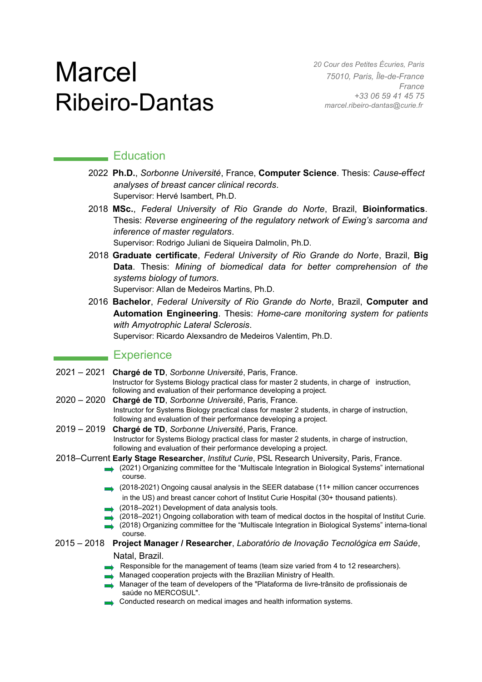# **Marcel** Ribeiro-Dantas

*20 Cour des Petites Écuries, Paris 75010, Paris, Île-de-France France [+33 06 59 41 45 75](tel:+330659414575) [marcel.ribeiro-dantas@curie.fr](mailto:marcel.ribeiro-dantas@curie.fr)*

## **Education**

- 2022 Ph.D., *Sorbonne Université*, France, **Computer Science**. Thesis: *Cause-effect analyses of breast cancer clinical records*. Supervisor: Hervé Isambert, Ph.D.
- 2018 **MSc.**, *Federal University of Rio Grande do Norte*, Brazil, **Bioinformatics**. Thesis: *Reverse engineering of the regulatory network of Ewing's sarcoma and inference of master regulators*. Supervisor: Rodrigo Juliani de Siqueira Dalmolin, Ph.D.
- 2018 **Graduate certificate**, *Federal University of Rio Grande do Norte*, Brazil, **Big Data**. Thesis: *Mining of biomedical data for better comprehension of the systems biology of tumors*.

Supervisor: Allan de Medeiros Martins, Ph.D.

2016 **Bachelor**, *Federal University of Rio Grande do Norte*, Brazil, **Computer and Automation Engineering**. Thesis: *Home-care monitoring system for patients with Amyotrophic Lateral Sclerosis*. Supervisor: Ricardo Alexsandro de Medeiros Valentim, Ph.D.

### Experience

- 2021 2021 **Chargé de TD**, *Sorbonne Université*, Paris, France. Instructor for Systems Biology practical class for master 2 students, in charge of instruction, following and evaluation of their performance developing a project.
- 2020 2020 **Chargé de TD**, *Sorbonne Université*, Paris, France. Instructor for Systems Biology practical class for master 2 students, in charge of instruction, following and evaluation of their performance developing a project.
- 2019 2019 **Chargé de TD**, *Sorbonne Université*, Paris, France. Instructor for Systems Biology practical class for master 2 students, in charge of instruction, following and evaluation of their performance developing a project.
- 2018–Current **Early Stage Researcher**, *Institut Curie*, PSL Research University, Paris, France.
	- (2021) Organizing committee for the "Multiscale Integration in Biological Systems" international course.
	- (2018-2021) Ongoing causal analysis in the SEER database (11+ million cancer occurrences in the US) and breast cancer cohort of Institut Curie Hospital (30+ thousand patients).
	- (2018–2021) Development of data analysis tools.
	- (2018–2021) Ongoing collaboration with team of medical doctos in the hospital of Institut Curie.
	- (2018) Organizing committee for the "Multiscale Integration in Biological Systems" interna-tional course.
- 2015 2018 **Project Manager / Researcher**, *Laboratório de Inovação Tecnológica em Saúde*,

#### Natal, Brazil.

- Responsible for the management of teams (team size varied from 4 to 12 researchers).
- **Managed cooperation projects with the Brazilian Ministry of Health.**
- Manager of the team of developers of the "Plataforma de livre-trânsito de profissionais de saúde no MERCOSUL".
- Conducted research on medical images and health information systems.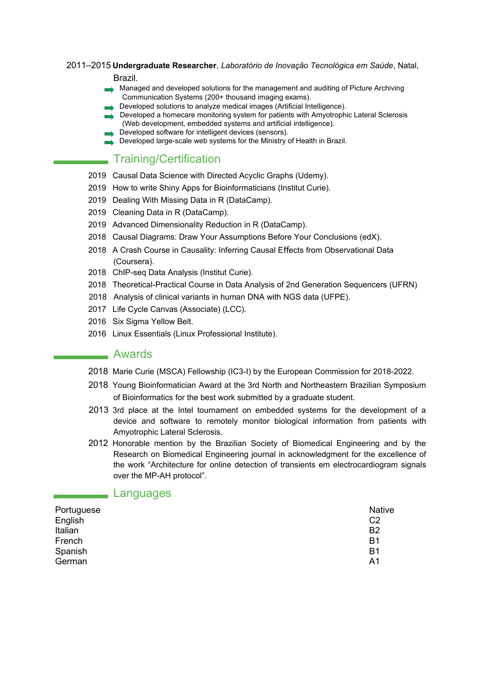2011–2015 **Undergraduate Researcher**, *Laboratório de Inovação Tecnológica em Saúde*, Natal,

Brazil.

- Managed and developed solutions for the management and auditing of Picture Archiving Communication Systems (200+ thousand imaging exams).
	- Developed solutions to analyze medical images (Artificial Intelligence).
- Developed a homecare monitoring system for patients with Amyotrophic Lateral Sclerosis (Web development, embedded systems and artificial intelligence).
- Developed software for intelligent devices (sensors).
- Developed large-scale web systems for the Ministry of Health in Brazil.

# Training/Certification

- 2019 Causal Data Science with Directed Acyclic Graphs (Udemy).
- 2019 How to write Shiny Apps for Bioinformaticians (Institut Curie).
- 2019 Dealing With Missing Data in R (DataCamp).
- 2019 Cleaning Data in R (DataCamp).
- 2019 Advanced Dimensionality Reduction in R (DataCamp).
- 2018 Causal Diagrams: Draw Your Assumptions Before Your Conclusions (edX).
- 2018 A Crash Course in Causality: Inferring Causal Effects from Observational Data (Coursera).
- 2018 ChIP-seq Data Analysis (Institut Curie).
- 2018 Theoretical-Practical Course in Data Analysis of 2nd Generation Sequencers (UFRN)
- 2018 Analysis of clinical variants in human DNA with NGS data (UFPE).
- 2017 Life Cycle Canvas (Associate) (LCC).
- 2016 Six Sigma Yellow Belt.
- 2016 Linux Essentials (Linux Professional Institute).

#### Awards

- 2018 Marie Curie (MSCA) Fellowship (IC3-I) by the European Commission for 2018-2022.
- 2018 Young Bioinformatician Award at the 3rd North and Northeastern Brazilian Symposium of Bioinformatics for the best work submitted by a graduate student.
- 2013 3rd place at the Intel tournament on embedded systems for the development of a device and software to remotely monitor biological information from patients with Amyotrophic Lateral Sclerosis.
- 2012 Honorable mention by the Brazilian Society of Biomedical Engineering and by the Research on Biomedical Engineering journal in acknowledgment for the excellence of the work "Architecture for online detection of transients em electrocardiogram signals over the MP-AH protocol".

#### Languages

| Portuguese | <b>Native</b>  |
|------------|----------------|
| English    | C <sub>2</sub> |
| Italian    | B <sub>2</sub> |
| French     | B1             |
| Spanish    | B1             |
| German     | A <sub>1</sub> |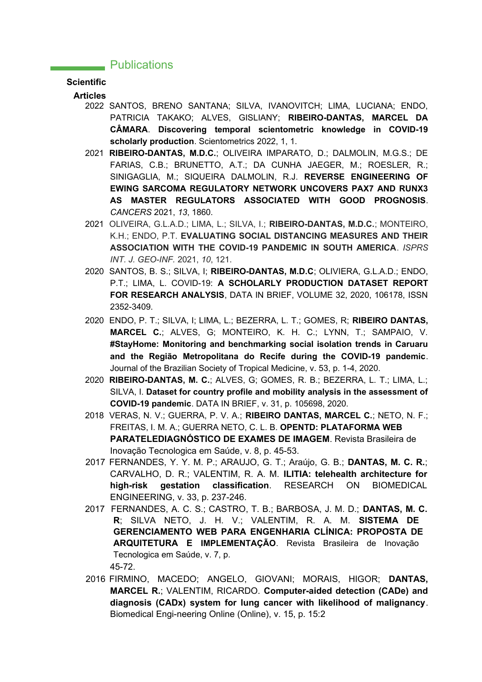#### **EXAMPLE Publications**

#### **Scientific**

**Articles**

- 2022 SANTOS, BRENO SANTANA; SILVA, IVANOVITCH; LIMA, LUCIANA; ENDO, PATRICIA TAKAKO; ALVES, GISLIANY; **RIBEIRO-DANTAS, MARCEL DA CÂMARA**. **Discovering temporal scientometric knowledge in COVID-19 scholarly production**. Scientometrics 2022, 1, 1.
- 2021 **RIBEIRO-DANTAS, M.D.C.**; OLIVEIRA IMPARATO, D.; DALMOLIN, M.G.S.; DE FARIAS, C.B.; BRUNETTO, A.T.; DA CUNHA JAEGER, M.; ROESLER, R.; SINIGAGLIA, M.; SIQUEIRA DALMOLIN, R.J. **REVERSE ENGINEERING OF EWING SARCOMA REGULATORY NETWORK UNCOVERS PAX7 AND RUNX3 AS MASTER REGULATORS ASSOCIATED WITH GOOD PROGNOSIS**. *CANCERS* 2021, *13*, 1860.
- 2021 OLIVEIRA, G.L.A.D.; LIMA, L.; SILVA, I.; **RIBEIRO-DANTAS, M.D.C.**; MONTEIRO, K.H.; ENDO, P.T. **EVALUATING SOCIAL DISTANCING MEASURES AND THEIR ASSOCIATION WITH THE COVID-19 PANDEMIC IN SOUTH AMERICA**. *ISPRS INT. J. GEO-INF.* 2021, *10*, 121.
- 2020 SANTOS, B. S.; SILVA, I; **RIBEIRO-DANTAS, M.D.C**; OLIVIERA, G.L.A.D.; ENDO, P.T.; LIMA, L. COVID-19: **A SCHOLARLY PRODUCTION DATASET REPORT FOR RESEARCH ANALYSIS**, DATA IN BRIEF, VOLUME 32, 2020, 106178, ISSN 2352-3409.
- 2020 ENDO, P. T.; SILVA, I; LIMA, L.; BEZERRA, L. T.; GOMES, R; **RIBEIRO DANTAS, MARCEL C.**; ALVES, G; MONTEIRO, K. H. C.; LYNN, T.; SAMPAIO, V. **#StayHome: Monitoring and benchmarking social isolation trends in Caruaru and the Região Metropolitana do Recife during the COVID-19 pandemic**. Journal of the Brazilian Society of Tropical Medicine, v. 53, p. 1-4, 2020.
- 2020 **RIBEIRO-DANTAS, M. C.**; ALVES, G; GOMES, R. B.; BEZERRA, L. T.; LIMA, L.; SILVA, I. **Dataset for country profile and mobility analysis in the assessment of COVID-19 pandemic**. DATA IN BRIEF, v. 31, p. 105698, 2020.
- 2018 VERAS, N. V.; GUERRA, P. V. A.; **RIBEIRO DANTAS, MARCEL C.**; NETO, N. F.; FREITAS, I. M. A.; GUERRA NETO, C. L. B. **OPENTD: PLATAFORMA WEB PARATELEDIAGNÓSTICO DE EXAMES DE IMAGEM**. Revista Brasileira de Inovação Tecnologica em Saúde, v. 8, p. 45-53.
- 2017 FERNANDES, Y. Y. M. P.; ARAUJO, G. T.; Araújo, G. B.; **DANTAS, M. C. R.**; CARVALHO, D. R.; VALENTIM, R. A. M. **ILITIA: telehealth architecture for high-risk gestation classification**. RESEARCH ON BIOMEDICAL ENGINEERING, v. 33, p. 237-246.
- 2017 FERNANDES, A. C. S.; CASTRO, T. B.; BARBOSA, J. M. D.; **DANTAS, M. C. R**; SILVA NETO, J. H. V.; VALENTIM, R. A. M. **SISTEMA DE GERENCIAMENTO WEB PARA ENGENHARIA CLÍNICA: PROPOSTA DE ARQUITETURA E IMPLEMENTAÇÃO**. Revista Brasileira de Inovação Tecnologica em Saúde, v. 7, p. 45-72.
- 2016 FIRMINO, MACEDO; ANGELO, GIOVANI; MORAIS, HIGOR; **DANTAS, MARCEL R.**; VALENTIM, RICARDO. **Computer-aided detection (CADe) and diagnosis (CADx) system for lung cancer with likelihood of malignancy**. Biomedical Engi-neering Online (Online), v. 15, p. 15:2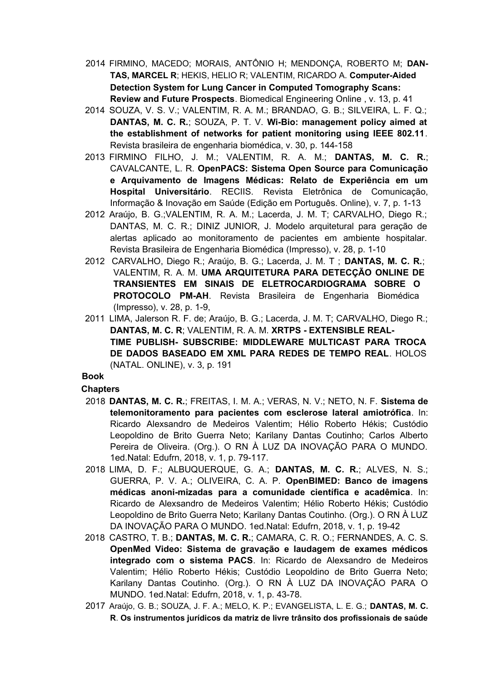- 2014 FIRMINO, MACEDO; MORAIS, ANTÔNIO H; MENDONÇA, ROBERTO M; **DAN-TAS, MARCEL R**; HEKIS, HELIO R; VALENTIM, RICARDO A. **Computer-Aided Detection System for Lung Cancer in Computed Tomography Scans: Review and Future Prospects**. Biomedical Engineering Online , v. 13, p. 41
- 2014 SOUZA, V. S. V.; VALENTIM, R. A. M.; BRANDAO, G. B.; SILVEIRA, L. F. Q.; **DANTAS, M. C. R.**; SOUZA, P. T. V. **Wi-Bio: management policy aimed at the establishment of networks for patient monitoring using IEEE 802.11**. Revista brasileira de engenharia biomédica, v. 30, p. 144-158
- 2013 FIRMINO FILHO, J. M.; VALENTIM, R. A. M.; **DANTAS, M. C. R.**; CAVALCANTE, L. R. **OpenPACS: Sistema Open Source para Comunicação e Arquivamento de Imagens Médicas: Relato de Experiência em um Hospital Universitário**. RECIIS. Revista Eletrônica de Comunicação, Informação & Inovação em Saúde (Edição em Português. Online), v. 7, p. 1-13
- 2012 Araújo, B. G.;VALENTIM, R. A. M.; Lacerda, J. M. T; CARVALHO, Diego R.; DANTAS, M. C. R.; DINIZ JUNIOR, J. Modelo arquitetural para geração de alertas aplicado ao monitoramento de pacientes em ambiente hospitalar. Revista Brasileira de Engenharia Biomédica (Impresso), v. 28, p. 1-10
- 2012 CARVALHO, Diego R.; Araújo, B. G.; Lacerda, J. M. T ; **DANTAS, M. C. R.**; VALENTIM, R. A. M. **UMA ARQUITETURA PARA DETECÇÃO ONLINE DE TRANSIENTES EM SINAIS DE ELETROCARDIOGRAMA SOBRE O PROTOCOLO PM-AH**. Revista Brasileira de Engenharia Biomédica (Impresso), v. 28, p. 1-9,
- 2011 LIMA, Jalerson R. F. de; Araújo, B. G.; Lacerda, J. M. T; CARVALHO, Diego R.; **DANTAS, M. C. R**; VALENTIM, R. A. M. **XRTPS - EXTENSIBLE REAL-TIME PUBLISH- SUBSCRIBE: MIDDLEWARE MULTICAST PARA TROCA DE DADOS BASEADO EM XML PARA REDES DE TEMPO REAL**. HOLOS (NATAL. ONLINE), v. 3, p. 191

#### **Book**

#### **Chapters**

- 2018 **DANTAS, M. C. R.**; FREITAS, I. M. A.; VERAS, N. V.; NETO, N. F. **Sistema de telemonitoramento para pacientes com esclerose lateral amiotrófica**. In: Ricardo Alexsandro de Medeiros Valentim; Hélio Roberto Hékis; Custódio Leopoldino de Brito Guerra Neto; Karilany Dantas Coutinho; Carlos Alberto Pereira de Oliveira. (Org.). O RN À LUZ DA INOVAÇÃO PARA O MUNDO. 1ed.Natal: Edufrn, 2018, v. 1, p. 79-117.
- 2018 LIMA, D. F.; ALBUQUERQUE, G. A.; **DANTAS, M. C. R.**; ALVES, N. S.; GUERRA, P. V. A.; OLIVEIRA, C. A. P. **OpenBIMED: Banco de imagens médicas anoni-mizadas para a comunidade científica e acadêmica**. In: Ricardo de Alexsandro de Medeiros Valentim; Hélio Roberto Hékis; Custódio Leopoldino de Brito Guerra Neto; Karilany Dantas Coutinho. (Org.). O RN À LUZ DA INOVAÇÃO PARA O MUNDO. 1ed.Natal: Edufrn, 2018, v. 1, p. 19-42
- 2018 CASTRO, T. B.; **DANTAS, M. C. R.**; CAMARA, C. R. O.; FERNANDES, A. C. S. **OpenMed Video: Sistema de gravação e laudagem de exames médicos integrado com o sistema PACS**. In: Ricardo de Alexsandro de Medeiros Valentim; Hélio Roberto Hékis; Custódio Leopoldino de Brito Guerra Neto; Karilany Dantas Coutinho. (Org.). O RN À LUZ DA INOVAÇÃO PARA O MUNDO. 1ed.Natal: Edufrn, 2018, v. 1, p. 43-78.
- 2017 Araújo, G. B.; SOUZA, J. F. A.; MELO, K. P.; EVANGELISTA, L. E. G.; **DANTAS, M. C. R**. **Os instrumentos jurídicos da matriz de livre trânsito dos profissionais de saúde**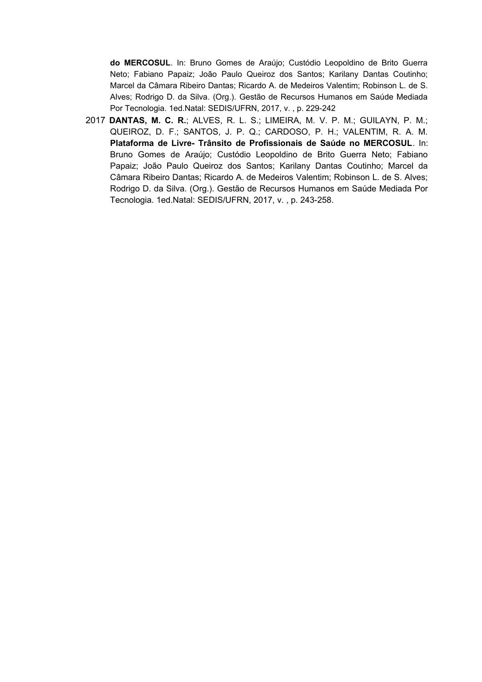**do MERCOSUL**. In: Bruno Gomes de Araújo; Custódio Leopoldino de Brito Guerra Neto; Fabiano Papaiz; João Paulo Queiroz dos Santos; Karilany Dantas Coutinho; Marcel da Câmara Ribeiro Dantas; Ricardo A. de Medeiros Valentim; Robinson L. de S. Alves; Rodrigo D. da Silva. (Org.). Gestão de Recursos Humanos em Saúde Mediada Por Tecnologia. 1ed.Natal: SEDIS/UFRN, 2017, v. , p. 229-242

2017 **DANTAS, M. C. R.**; ALVES, R. L. S.; LIMEIRA, M. V. P. M.; GUILAYN, P. M.; QUEIROZ, D. F.; SANTOS, J. P. Q.; CARDOSO, P. H.; VALENTIM, R. A. M. **Plataforma de Livre- Trânsito de Profissionais de Saúde no MERCOSUL**. In: Bruno Gomes de Araújo; Custódio Leopoldino de Brito Guerra Neto; Fabiano Papaiz; João Paulo Queiroz dos Santos; Karilany Dantas Coutinho; Marcel da Câmara Ribeiro Dantas; Ricardo A. de Medeiros Valentim; Robinson L. de S. Alves; Rodrigo D. da Silva. (Org.). Gestão de Recursos Humanos em Saúde Mediada Por Tecnologia. 1ed.Natal: SEDIS/UFRN, 2017, v. , p. 243-258.